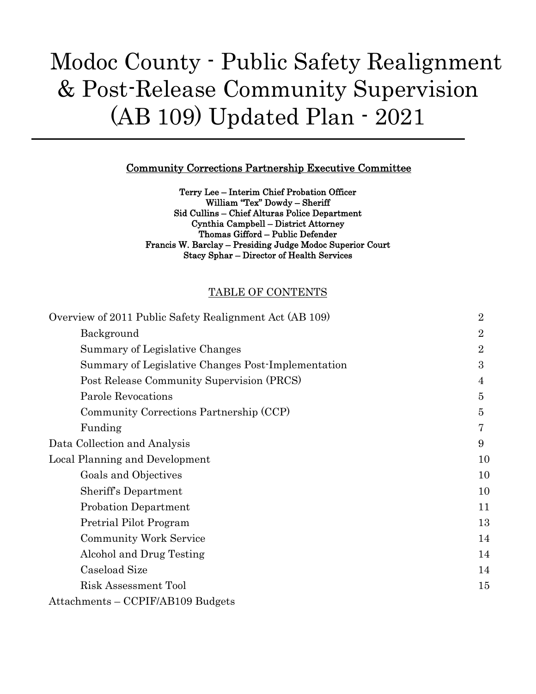# Modoc County - Public Safety Realignment & Post-Release Community Supervision (AB 109) Updated Plan - 2021

#### Community Corrections Partnership Executive Committee

Terry Lee – Interim Chief Probation Officer William "Tex" Dowdy – Sheriff Sid Cullins – Chief Alturas Police Department Cynthia Campbell – District Attorney Thomas Gifford – Public Defender Francis W. Barclay – Presiding Judge Modoc Superior Court Stacy Sphar – Director of Health Services

#### TABLE OF CONTENTS

| Overview of 2011 Public Safety Realignment Act (AB 109) | $\overline{2}$ |
|---------------------------------------------------------|----------------|
| Background                                              | $\overline{2}$ |
| Summary of Legislative Changes                          | $\overline{2}$ |
| Summary of Legislative Changes Post-Implementation      | 3              |
| Post Release Community Supervision (PRCS)               | 4              |
| <b>Parole Revocations</b>                               | $\overline{5}$ |
| Community Corrections Partnership (CCP)                 | 5              |
| Funding                                                 | 7              |
| Data Collection and Analysis                            | 9              |
| Local Planning and Development                          | 10             |
| Goals and Objectives                                    | 10             |
| Sheriff's Department                                    | 10             |
| <b>Probation Department</b>                             | 11             |
| Pretrial Pilot Program                                  | 13             |
| <b>Community Work Service</b>                           | 14             |
| Alcohol and Drug Testing                                | 14             |
| Caseload Size                                           | 14             |
| Risk Assessment Tool                                    | 15             |
| Attachments - CCPIF/AB109 Budgets                       |                |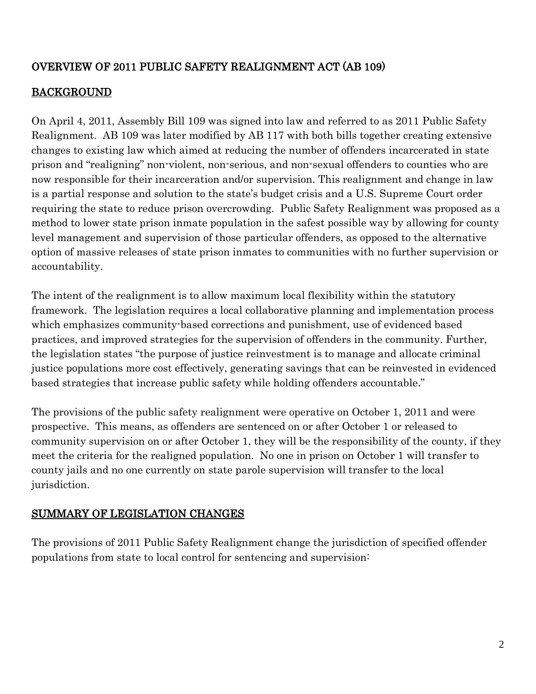## OVERVIEW OF 2011 PUBLIC SAFETY REALIGNMENT ACT (AB 109)

## BACKGROUND

On April 4, 2011, Assembly Bill 109 was signed into law and referred to as 2011 Public Safety Realignment. AB 109 was later modified by AB 117 with both bills together creating extensive changes to existing law which aimed at reducing the number of offenders incarcerated in state prison and "realigning" non-violent, non-serious, and non-sexual offenders to counties who are now responsible for their incarceration and/or supervision. This realignment and change in law is a partial response and solution to the state's budget crisis and a U.S. Supreme Court order requiring the state to reduce prison overcrowding. Public Safety Realignment was proposed as a method to lower state prison inmate population in the safest possible way by allowing for county level management and supervision of those particular offenders, as opposed to the alternative option of massive releases of state prison inmates to communities with no further supervision or accountability.

The intent of the realignment is to allow maximum local flexibility within the statutory framework. The legislation requires a local collaborative planning and implementation process which emphasizes community-based corrections and punishment, use of evidenced based practices, and improved strategies for the supervision of offenders in the community. Further, the legislation states "the purpose of justice reinvestment is to manage and allocate criminal justice populations more cost effectively, generating savings that can be reinvested in evidenced based strategies that increase public safety while holding offenders accountable."

The provisions of the public safety realignment were operative on October 1, 2011 and were prospective. This means, as offenders are sentenced on or after October 1 or released to community supervision on or after October 1, they will be the responsibility of the county, if they meet the criteria for the realigned population. No one in prison on October 1 will transfer to county jails and no one currently on state parole supervision will transfer to the local jurisdiction.

## SUMMARY OF LEGISLATION CHANGES

The provisions of 2011 Public Safety Realignment change the jurisdiction of specified offender populations from state to local control for sentencing and supervision: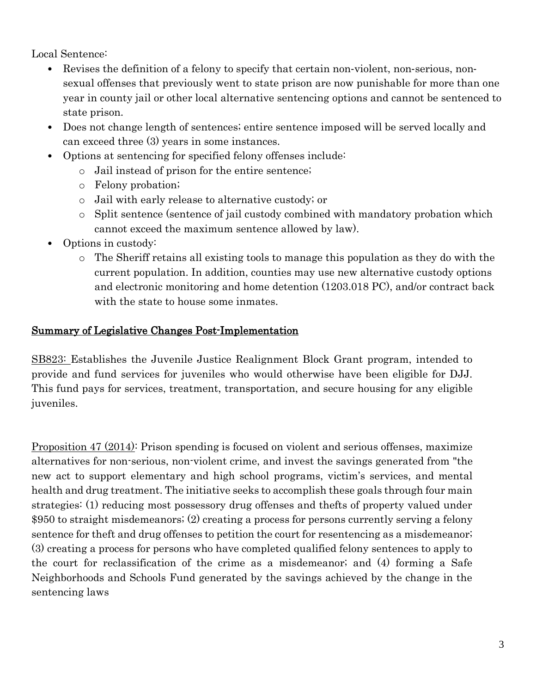Local Sentence:

- Revises the definition of a felony to specify that certain non-violent, non-serious, nonsexual offenses that previously went to state prison are now punishable for more than one year in county jail or other local alternative sentencing options and cannot be sentenced to state prison.
- Does not change length of sentences; entire sentence imposed will be served locally and can exceed three (3) years in some instances.
- Options at sentencing for specified felony offenses include:
	- o Jail instead of prison for the entire sentence;
	- o Felony probation;
	- o Jail with early release to alternative custody; or
	- o Split sentence (sentence of jail custody combined with mandatory probation which cannot exceed the maximum sentence allowed by law).
- Options in custody:
	- o The Sheriff retains all existing tools to manage this population as they do with the current population. In addition, counties may use new alternative custody options and electronic monitoring and home detention (1203.018 PC), and/or contract back with the state to house some inmates.

#### Summary of Legislative Changes Post-Implementation

SB823: Establishes the Juvenile Justice Realignment Block Grant program, intended to provide and fund services for juveniles who would otherwise have been eligible for DJJ. This fund pays for services, treatment, transportation, and secure housing for any eligible juveniles.

Proposition 47 (2014): Prison spending is focused on violent and serious offenses, maximize alternatives for non-serious, non-violent crime, and invest the savings generated from "the new act to support elementary and high school programs, victim's services, and mental health and drug treatment. The initiative seeks to accomplish these goals through four main strategies: (1) reducing most possessory drug offenses and thefts of property valued under \$950 to straight misdemeanors; (2) creating a process for persons currently serving a felony sentence for theft and drug offenses to petition the court for resentencing as a misdemeanor; (3) creating a process for persons who have completed qualified felony sentences to apply to the court for reclassification of the crime as a misdemeanor; and (4) forming a Safe Neighborhoods and Schools Fund generated by the savings achieved by the change in the sentencing laws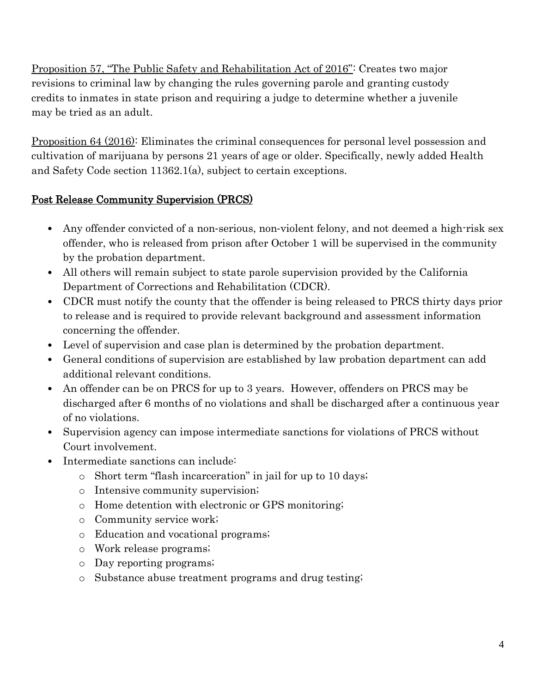Proposition 57, "The Public Safety and Rehabilitation Act of 2016": Creates two major revisions to criminal law by changing the rules governing parole and granting custody credits to inmates in state prison and requiring a judge to determine whether a juvenile may be tried as an adult.

Proposition 64 (2016): Eliminates the criminal consequences for personal level possession and cultivation of marijuana by persons 21 years of age or older. Specifically, newly added Health and Safety Code section 11362.1(a), subject to certain exceptions.

## Post Release Community Supervision (PRCS)

- Any offender convicted of a non-serious, non-violent felony, and not deemed a high-risk sex offender, who is released from prison after October 1 will be supervised in the community by the probation department.
- All others will remain subject to state parole supervision provided by the California Department of Corrections and Rehabilitation (CDCR).
- CDCR must notify the county that the offender is being released to PRCS thirty days prior to release and is required to provide relevant background and assessment information concerning the offender.
- Level of supervision and case plan is determined by the probation department.
- General conditions of supervision are established by law probation department can add additional relevant conditions.
- An offender can be on PRCS for up to 3 years. However, offenders on PRCS may be discharged after 6 months of no violations and shall be discharged after a continuous year of no violations.
- Supervision agency can impose intermediate sanctions for violations of PRCS without Court involvement.
- Intermediate sanctions can include:
	- o Short term "flash incarceration" in jail for up to 10 days;
	- o Intensive community supervision;
	- o Home detention with electronic or GPS monitoring;
	- o Community service work;
	- o Education and vocational programs;
	- o Work release programs;
	- o Day reporting programs;
	- o Substance abuse treatment programs and drug testing;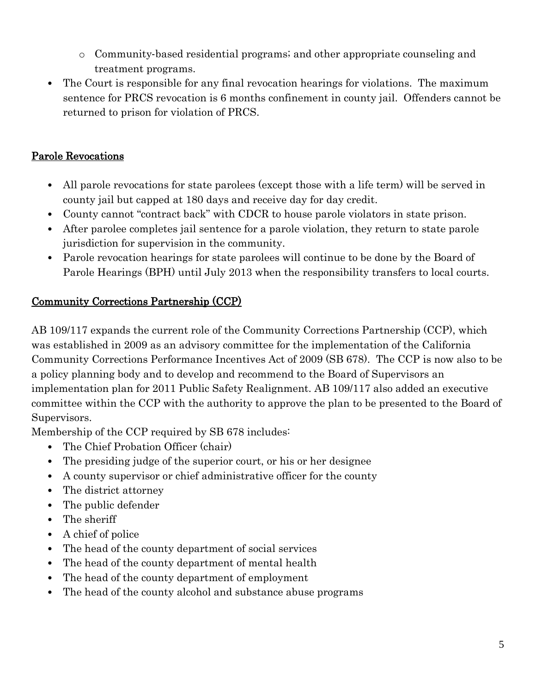- o Community‐based residential programs; and other appropriate counseling and treatment programs.
- The Court is responsible for any final revocation hearings for violations. The maximum sentence for PRCS revocation is 6 months confinement in county jail. Offenders cannot be returned to prison for violation of PRCS.

## Parole Revocations

- All parole revocations for state parolees (except those with a life term) will be served in county jail but capped at 180 days and receive day for day credit.
- County cannot "contract back" with CDCR to house parole violators in state prison.
- After parolee completes jail sentence for a parole violation, they return to state parole jurisdiction for supervision in the community.
- Parole revocation hearings for state parolees will continue to be done by the Board of Parole Hearings (BPH) until July 2013 when the responsibility transfers to local courts.

## Community Corrections Partnership (CCP)

AB 109/117 expands the current role of the Community Corrections Partnership (CCP), which was established in 2009 as an advisory committee for the implementation of the California Community Corrections Performance Incentives Act of 2009 (SB 678). The CCP is now also to be a policy planning body and to develop and recommend to the Board of Supervisors an implementation plan for 2011 Public Safety Realignment. AB 109/117 also added an executive committee within the CCP with the authority to approve the plan to be presented to the Board of Supervisors.

Membership of the CCP required by SB 678 includes:

- The Chief Probation Officer (chair)
- The presiding judge of the superior court, or his or her designee
- A county supervisor or chief administrative officer for the county
- The district attorney
- The public defender
- The sheriff
- A chief of police
- The head of the county department of social services
- The head of the county department of mental health
- The head of the county department of employment
- The head of the county alcohol and substance abuse programs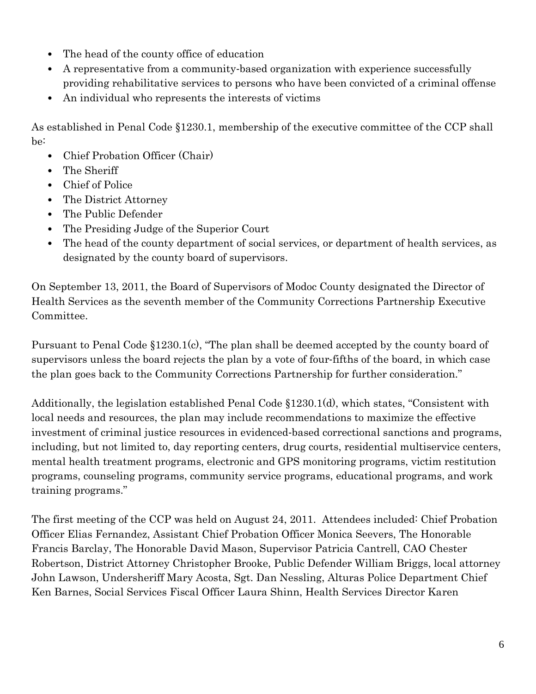- The head of the county office of education
- A representative from a community‐based organization with experience successfully providing rehabilitative services to persons who have been convicted of a criminal offense
- An individual who represents the interests of victims

As established in Penal Code §1230.1, membership of the executive committee of the CCP shall be:

- Chief Probation Officer (Chair)
- The Sheriff
- Chief of Police
- The District Attorney
- The Public Defender
- The Presiding Judge of the Superior Court
- The head of the county department of social services, or department of health services, as designated by the county board of supervisors.

On September 13, 2011, the Board of Supervisors of Modoc County designated the Director of Health Services as the seventh member of the Community Corrections Partnership Executive Committee.

Pursuant to Penal Code §1230.1(c), "The plan shall be deemed accepted by the county board of supervisors unless the board rejects the plan by a vote of four‐fifths of the board, in which case the plan goes back to the Community Corrections Partnership for further consideration."

Additionally, the legislation established Penal Code §1230.1(d), which states, "Consistent with local needs and resources, the plan may include recommendations to maximize the effective investment of criminal justice resources in evidenced‐based correctional sanctions and programs, including, but not limited to, day reporting centers, drug courts, residential multiservice centers, mental health treatment programs, electronic and GPS monitoring programs, victim restitution programs, counseling programs, community service programs, educational programs, and work training programs."

The first meeting of the CCP was held on August 24, 2011. Attendees included: Chief Probation Officer Elias Fernandez, Assistant Chief Probation Officer Monica Seevers, The Honorable Francis Barclay, The Honorable David Mason, Supervisor Patricia Cantrell, CAO Chester Robertson, District Attorney Christopher Brooke, Public Defender William Briggs, local attorney John Lawson, Undersheriff Mary Acosta, Sgt. Dan Nessling, Alturas Police Department Chief Ken Barnes, Social Services Fiscal Officer Laura Shinn, Health Services Director Karen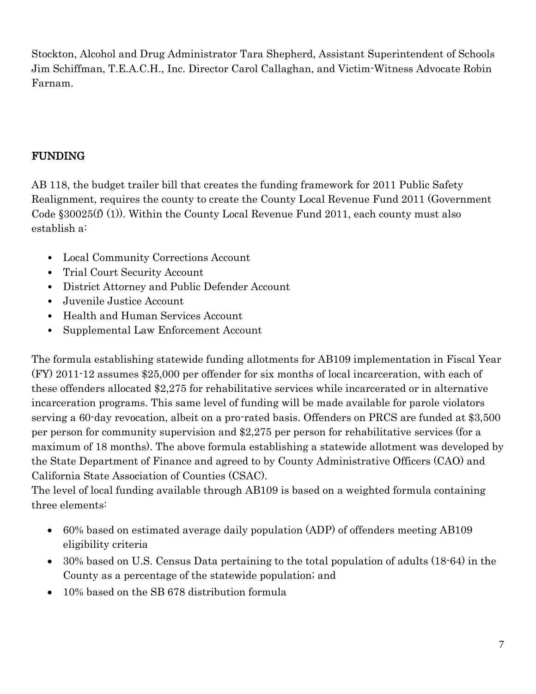Stockton, Alcohol and Drug Administrator Tara Shepherd, Assistant Superintendent of Schools Jim Schiffman, T.E.A.C.H., Inc. Director Carol Callaghan, and Victim-Witness Advocate Robin Farnam.

## FUNDING

AB 118, the budget trailer bill that creates the funding framework for 2011 Public Safety Realignment, requires the county to create the County Local Revenue Fund 2011 (Government Code  $830025(f)(1)$ . Within the County Local Revenue Fund 2011, each county must also establish a:

- Local Community Corrections Account
- Trial Court Security Account
- District Attorney and Public Defender Account
- Juvenile Justice Account
- Health and Human Services Account
- Supplemental Law Enforcement Account

The formula establishing statewide funding allotments for AB109 implementation in Fiscal Year (FY) 2011-12 assumes \$25,000 per offender for six months of local incarceration, with each of these offenders allocated \$2,275 for rehabilitative services while incarcerated or in alternative incarceration programs. This same level of funding will be made available for parole violators serving a 60-day revocation, albeit on a pro-rated basis. Offenders on PRCS are funded at \$3,500 per person for community supervision and \$2,275 per person for rehabilitative services (for a maximum of 18 months). The above formula establishing a statewide allotment was developed by the State Department of Finance and agreed to by County Administrative Officers (CAO) and California State Association of Counties (CSAC).

The level of local funding available through AB109 is based on a weighted formula containing three elements:

- 60% based on estimated average daily population (ADP) of offenders meeting AB109 eligibility criteria
- 30% based on U.S. Census Data pertaining to the total population of adults (18-64) in the County as a percentage of the statewide population; and
- 10% based on the SB 678 distribution formula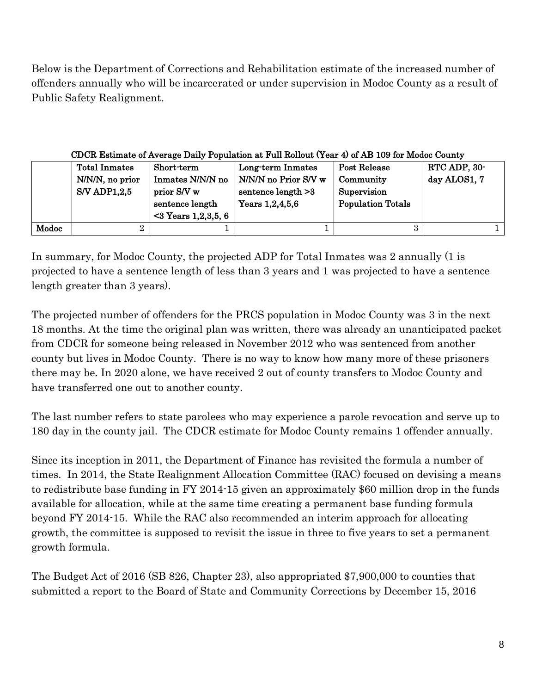Below is the Department of Corrections and Rehabilitation estimate of the increased number of offenders annually who will be incarcerated or under supervision in Modoc County as a result of Public Safety Realignment.

#### CDCR Estimate of Average Daily Population at Full Rollout (Year 4) of AB 109 for Modoc County

|       | <b>Total Inmates</b><br>N/N/N, no prior<br><b>S/V ADP1,2,5</b> | Short-term<br>Inmates N/N/N no<br>prior S/V w<br>sentence length | Long-term Inmates<br>N/N/N no Prior S/V w<br>sentence $length >3$<br>Years $1,2,4,5,6$ | Post Release<br>Community<br>Supervision<br><b>Population Totals</b> | RTC ADP, 30-<br>day ALOS1, 7 |
|-------|----------------------------------------------------------------|------------------------------------------------------------------|----------------------------------------------------------------------------------------|----------------------------------------------------------------------|------------------------------|
|       |                                                                | $<$ 3 Years 1,2,3,5, 6                                           |                                                                                        |                                                                      |                              |
| Modoc |                                                                |                                                                  |                                                                                        |                                                                      |                              |

In summary, for Modoc County, the projected ADP for Total Inmates was 2 annually (1 is projected to have a sentence length of less than 3 years and 1 was projected to have a sentence length greater than 3 years).

The projected number of offenders for the PRCS population in Modoc County was 3 in the next 18 months. At the time the original plan was written, there was already an unanticipated packet from CDCR for someone being released in November 2012 who was sentenced from another county but lives in Modoc County. There is no way to know how many more of these prisoners there may be. In 2020 alone, we have received 2 out of county transfers to Modoc County and have transferred one out to another county.

The last number refers to state parolees who may experience a parole revocation and serve up to 180 day in the county jail. The CDCR estimate for Modoc County remains 1 offender annually.

Since its inception in 2011, the Department of Finance has revisited the formula a number of times. In 2014, the State Realignment Allocation Committee (RAC) focused on devising a means to redistribute base funding in FY 2014-15 given an approximately \$60 million drop in the funds available for allocation, while at the same time creating a permanent base funding formula beyond FY 2014-15. While the RAC also recommended an interim approach for allocating growth, the committee is supposed to revisit the issue in three to five years to set a permanent growth formula.

The Budget Act of 2016 (SB 826, Chapter 23), also appropriated \$7,900,000 to counties that submitted a report to the Board of State and Community Corrections by December 15, 2016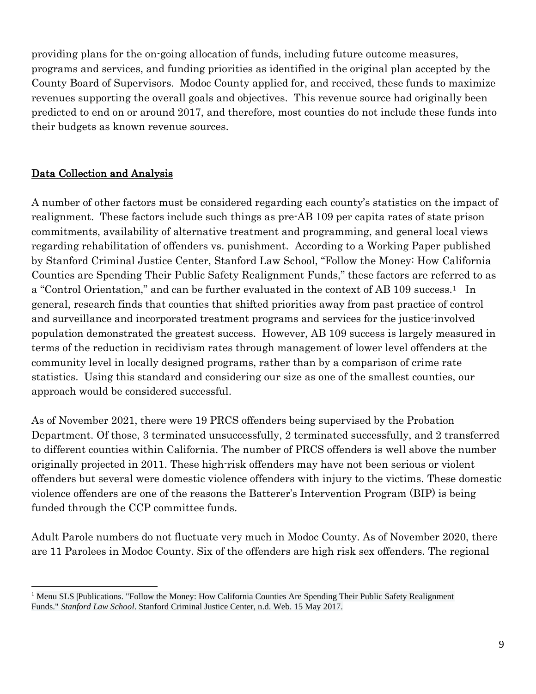providing plans for the on-going allocation of funds, including future outcome measures, programs and services, and funding priorities as identified in the original plan accepted by the County Board of Supervisors. Modoc County applied for, and received, these funds to maximize revenues supporting the overall goals and objectives. This revenue source had originally been predicted to end on or around 2017, and therefore, most counties do not include these funds into their budgets as known revenue sources.

#### Data Collection and Analysis

A number of other factors must be considered regarding each county's statistics on the impact of realignment. These factors include such things as pre-AB 109 per capita rates of state prison commitments, availability of alternative treatment and programming, and general local views regarding rehabilitation of offenders vs. punishment. According to a Working Paper published by Stanford Criminal Justice Center, Stanford Law School, "Follow the Money: How California Counties are Spending Their Public Safety Realignment Funds," these factors are referred to as a "Control Orientation," and can be further evaluated in the context of AB 109 success.<sup>1</sup> In general, research finds that counties that shifted priorities away from past practice of control and surveillance and incorporated treatment programs and services for the justice-involved population demonstrated the greatest success. However, AB 109 success is largely measured in terms of the reduction in recidivism rates through management of lower level offenders at the community level in locally designed programs, rather than by a comparison of crime rate statistics. Using this standard and considering our size as one of the smallest counties, our approach would be considered successful.

As of November 2021, there were 19 PRCS offenders being supervised by the Probation Department. Of those, 3 terminated unsuccessfully, 2 terminated successfully, and 2 transferred to different counties within California. The number of PRCS offenders is well above the number originally projected in 2011. These high-risk offenders may have not been serious or violent offenders but several were domestic violence offenders with injury to the victims. These domestic violence offenders are one of the reasons the Batterer's Intervention Program (BIP) is being funded through the CCP committee funds.

Adult Parole numbers do not fluctuate very much in Modoc County. As of November 2020, there are 11 Parolees in Modoc County. Six of the offenders are high risk sex offenders. The regional

<sup>&</sup>lt;sup>1</sup> Menu SLS | Publications. "Follow the Money: How California Counties Are Spending Their Public Safety Realignment Funds." *Stanford Law School*. Stanford Criminal Justice Center, n.d. Web. 15 May 2017.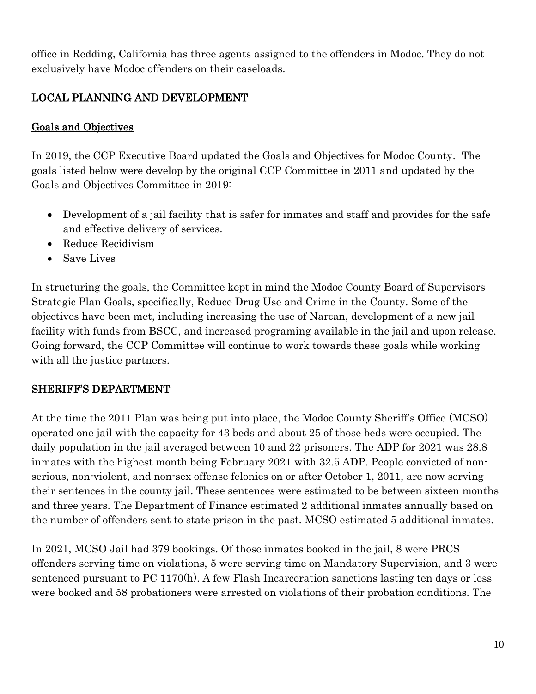office in Redding, California has three agents assigned to the offenders in Modoc. They do not exclusively have Modoc offenders on their caseloads.

# LOCAL PLANNING AND DEVELOPMENT

## Goals and Objectives

In 2019, the CCP Executive Board updated the Goals and Objectives for Modoc County. The goals listed below were develop by the original CCP Committee in 2011 and updated by the Goals and Objectives Committee in 2019:

- Development of a jail facility that is safer for inmates and staff and provides for the safe and effective delivery of services.
- Reduce Recidivism
- Save Lives

In structuring the goals, the Committee kept in mind the Modoc County Board of Supervisors Strategic Plan Goals, specifically, Reduce Drug Use and Crime in the County. Some of the objectives have been met, including increasing the use of Narcan, development of a new jail facility with funds from BSCC, and increased programing available in the jail and upon release. Going forward, the CCP Committee will continue to work towards these goals while working with all the justice partners.

## SHERIFF'S DEPARTMENT

At the time the 2011 Plan was being put into place, the Modoc County Sheriff's Office (MCSO) operated one jail with the capacity for 43 beds and about 25 of those beds were occupied. The daily population in the jail averaged between 10 and 22 prisoners. The ADP for 2021 was 28.8 inmates with the highest month being February 2021 with 32.5 ADP. People convicted of nonserious, non-violent, and non-sex offense felonies on or after October 1, 2011, are now serving their sentences in the county jail. These sentences were estimated to be between sixteen months and three years. The Department of Finance estimated 2 additional inmates annually based on the number of offenders sent to state prison in the past. MCSO estimated 5 additional inmates.

In 2021, MCSO Jail had 379 bookings. Of those inmates booked in the jail, 8 were PRCS offenders serving time on violations, 5 were serving time on Mandatory Supervision, and 3 were sentenced pursuant to PC 1170(h). A few Flash Incarceration sanctions lasting ten days or less were booked and 58 probationers were arrested on violations of their probation conditions. The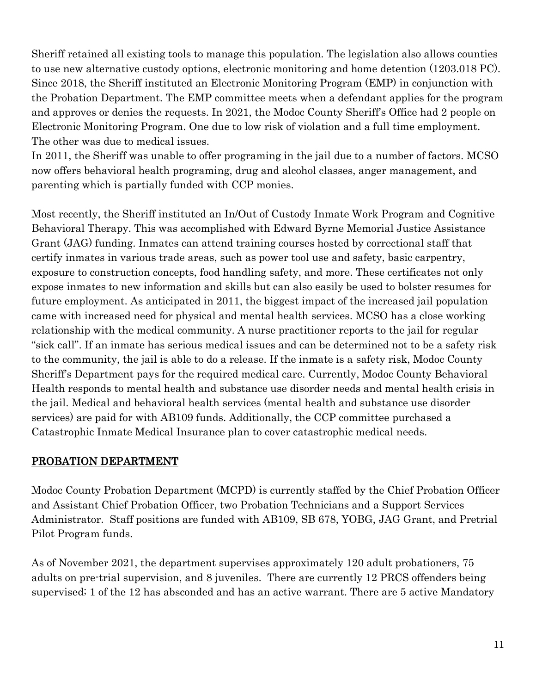Sheriff retained all existing tools to manage this population. The legislation also allows counties to use new alternative custody options, electronic monitoring and home detention (1203.018 PC). Since 2018, the Sheriff instituted an Electronic Monitoring Program (EMP) in conjunction with the Probation Department. The EMP committee meets when a defendant applies for the program and approves or denies the requests. In 2021, the Modoc County Sheriff's Office had 2 people on Electronic Monitoring Program. One due to low risk of violation and a full time employment. The other was due to medical issues.

In 2011, the Sheriff was unable to offer programing in the jail due to a number of factors. MCSO now offers behavioral health programing, drug and alcohol classes, anger management, and parenting which is partially funded with CCP monies.

Most recently, the Sheriff instituted an In/Out of Custody Inmate Work Program and Cognitive Behavioral Therapy. This was accomplished with Edward Byrne Memorial Justice Assistance Grant (JAG) funding. Inmates can attend training courses hosted by correctional staff that certify inmates in various trade areas, such as power tool use and safety, basic carpentry, exposure to construction concepts, food handling safety, and more. These certificates not only expose inmates to new information and skills but can also easily be used to bolster resumes for future employment. As anticipated in 2011, the biggest impact of the increased jail population came with increased need for physical and mental health services. MCSO has a close working relationship with the medical community. A nurse practitioner reports to the jail for regular "sick call". If an inmate has serious medical issues and can be determined not to be a safety risk to the community, the jail is able to do a release. If the inmate is a safety risk, Modoc County Sheriff's Department pays for the required medical care. Currently, Modoc County Behavioral Health responds to mental health and substance use disorder needs and mental health crisis in the jail. Medical and behavioral health services (mental health and substance use disorder services) are paid for with AB109 funds. Additionally, the CCP committee purchased a Catastrophic Inmate Medical Insurance plan to cover catastrophic medical needs.

#### PROBATION DEPARTMENT

Modoc County Probation Department (MCPD) is currently staffed by the Chief Probation Officer and Assistant Chief Probation Officer, two Probation Technicians and a Support Services Administrator. Staff positions are funded with AB109, SB 678, YOBG, JAG Grant, and Pretrial Pilot Program funds.

As of November 2021, the department supervises approximately 120 adult probationers, 75 adults on pre-trial supervision, and 8 juveniles. There are currently 12 PRCS offenders being supervised; 1 of the 12 has absconded and has an active warrant. There are 5 active Mandatory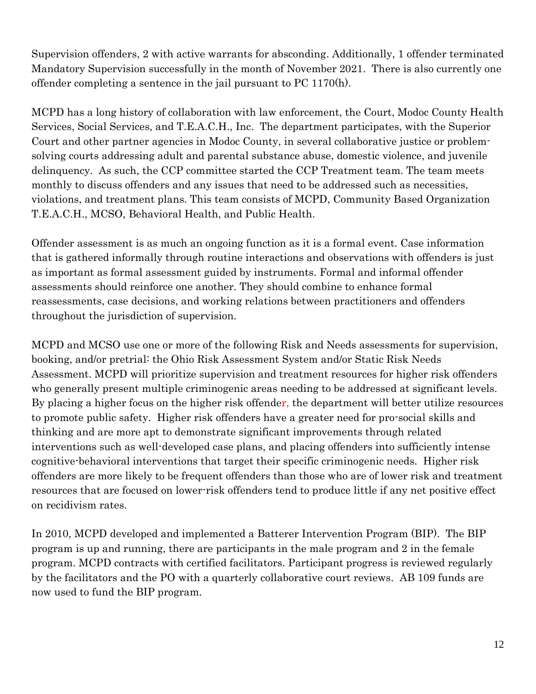Supervision offenders, 2 with active warrants for absconding. Additionally, 1 offender terminated Mandatory Supervision successfully in the month of November 2021. There is also currently one offender completing a sentence in the jail pursuant to PC 1170(h).

MCPD has a long history of collaboration with law enforcement, the Court, Modoc County Health Services, Social Services, and T.E.A.C.H., Inc. The department participates, with the Superior Court and other partner agencies in Modoc County, in several collaborative justice or problemsolving courts addressing adult and parental substance abuse, domestic violence, and juvenile delinquency. As such, the CCP committee started the CCP Treatment team. The team meets monthly to discuss offenders and any issues that need to be addressed such as necessities, violations, and treatment plans. This team consists of MCPD, Community Based Organization T.E.A.C.H., MCSO, Behavioral Health, and Public Health.

Offender assessment is as much an ongoing function as it is a formal event. Case information that is gathered informally through routine interactions and observations with offenders is just as important as formal assessment guided by instruments. Formal and informal offender assessments should reinforce one another. They should combine to enhance formal reassessments, case decisions, and working relations between practitioners and offenders throughout the jurisdiction of supervision.

MCPD and MCSO use one or more of the following Risk and Needs assessments for supervision, booking, and/or pretrial: the Ohio Risk Assessment System and/or Static Risk Needs Assessment. MCPD will prioritize supervision and treatment resources for higher risk offenders who generally present multiple criminogenic areas needing to be addressed at significant levels. By placing a higher focus on the higher risk offender, the department will better utilize resources to promote public safety. Higher risk offenders have a greater need for pro-social skills and thinking and are more apt to demonstrate significant improvements through related interventions such as well-developed case plans, and placing offenders into sufficiently intense cognitive-behavioral interventions that target their specific criminogenic needs. Higher risk offenders are more likely to be frequent offenders than those who are of lower risk and treatment resources that are focused on lower-risk offenders tend to produce little if any net positive effect on recidivism rates.

In 2010, MCPD developed and implemented a Batterer Intervention Program (BIP). The BIP program is up and running, there are participants in the male program and 2 in the female program. MCPD contracts with certified facilitators. Participant progress is reviewed regularly by the facilitators and the PO with a quarterly collaborative court reviews. AB 109 funds are now used to fund the BIP program.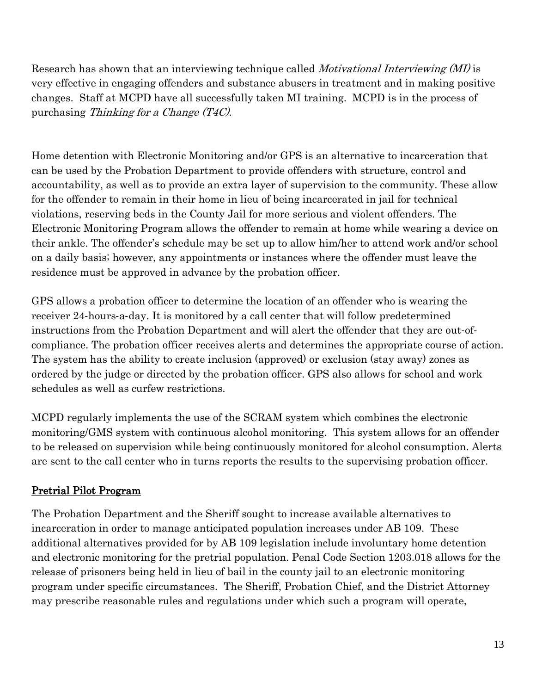Research has shown that an interviewing technique called *Motivational Interviewing* (*MI*) is very effective in engaging offenders and substance abusers in treatment and in making positive changes. Staff at MCPD have all successfully taken MI training. MCPD is in the process of purchasing Thinking for a Change (T4C).

Home detention with Electronic Monitoring and/or GPS is an alternative to incarceration that can be used by the Probation Department to provide offenders with structure, control and accountability, as well as to provide an extra layer of supervision to the community. These allow for the offender to remain in their home in lieu of being incarcerated in jail for technical violations, reserving beds in the County Jail for more serious and violent offenders. The Electronic Monitoring Program allows the offender to remain at home while wearing a device on their ankle. The offender's schedule may be set up to allow him/her to attend work and/or school on a daily basis; however, any appointments or instances where the offender must leave the residence must be approved in advance by the probation officer.

GPS allows a probation officer to determine the location of an offender who is wearing the receiver 24-hours-a-day. It is monitored by a call center that will follow predetermined instructions from the Probation Department and will alert the offender that they are out‐of‐ compliance. The probation officer receives alerts and determines the appropriate course of action. The system has the ability to create inclusion (approved) or exclusion (stay away) zones as ordered by the judge or directed by the probation officer. GPS also allows for school and work schedules as well as curfew restrictions.

MCPD regularly implements the use of the SCRAM system which combines the electronic monitoring/GMS system with continuous alcohol monitoring. This system allows for an offender to be released on supervision while being continuously monitored for alcohol consumption. Alerts are sent to the call center who in turns reports the results to the supervising probation officer.

## Pretrial Pilot Program

The Probation Department and the Sheriff sought to increase available alternatives to incarceration in order to manage anticipated population increases under AB 109. These additional alternatives provided for by AB 109 legislation include involuntary home detention and electronic monitoring for the pretrial population. Penal Code Section 1203.018 allows for the release of prisoners being held in lieu of bail in the county jail to an electronic monitoring program under specific circumstances. The Sheriff, Probation Chief, and the District Attorney may prescribe reasonable rules and regulations under which such a program will operate,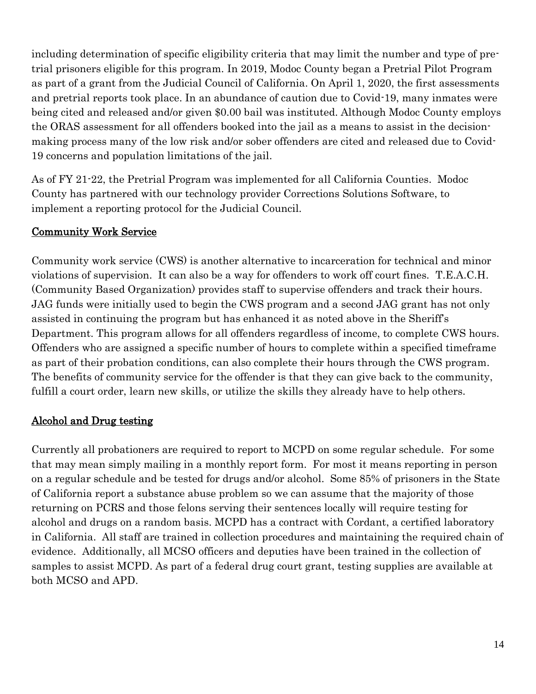including determination of specific eligibility criteria that may limit the number and type of pretrial prisoners eligible for this program. In 2019, Modoc County began a Pretrial Pilot Program as part of a grant from the Judicial Council of California. On April 1, 2020, the first assessments and pretrial reports took place. In an abundance of caution due to Covid-19, many inmates were being cited and released and/or given \$0.00 bail was instituted. Although Modoc County employs the ORAS assessment for all offenders booked into the jail as a means to assist in the decisionmaking process many of the low risk and/or sober offenders are cited and released due to Covid-19 concerns and population limitations of the jail.

As of FY 21-22, the Pretrial Program was implemented for all California Counties. Modoc County has partnered with our technology provider Corrections Solutions Software, to implement a reporting protocol for the Judicial Council.

## Community Work Service

Community work service (CWS) is another alternative to incarceration for technical and minor violations of supervision. It can also be a way for offenders to work off court fines. T.E.A.C.H. (Community Based Organization) provides staff to supervise offenders and track their hours. JAG funds were initially used to begin the CWS program and a second JAG grant has not only assisted in continuing the program but has enhanced it as noted above in the Sheriff's Department. This program allows for all offenders regardless of income, to complete CWS hours. Offenders who are assigned a specific number of hours to complete within a specified timeframe as part of their probation conditions, can also complete their hours through the CWS program. The benefits of community service for the offender is that they can give back to the community, fulfill a court order, learn new skills, or utilize the skills they already have to help others.

#### Alcohol and Drug testing

Currently all probationers are required to report to MCPD on some regular schedule. For some that may mean simply mailing in a monthly report form. For most it means reporting in person on a regular schedule and be tested for drugs and/or alcohol. Some 85% of prisoners in the State of California report a substance abuse problem so we can assume that the majority of those returning on PCRS and those felons serving their sentences locally will require testing for alcohol and drugs on a random basis. MCPD has a contract with Cordant, a certified laboratory in California. All staff are trained in collection procedures and maintaining the required chain of evidence. Additionally, all MCSO officers and deputies have been trained in the collection of samples to assist MCPD. As part of a federal drug court grant, testing supplies are available at both MCSO and APD.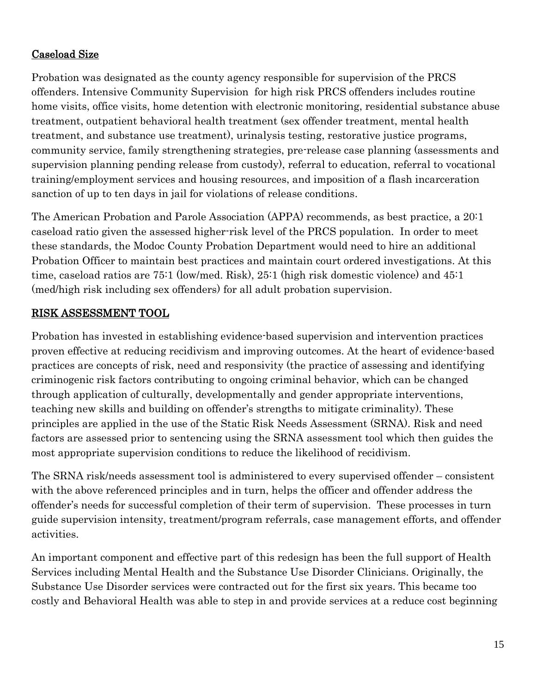## Caseload Size

Probation was designated as the county agency responsible for supervision of the PRCS offenders. Intensive Community Supervision for high risk PRCS offenders includes routine home visits, office visits, home detention with electronic monitoring, residential substance abuse treatment, outpatient behavioral health treatment (sex offender treatment, mental health treatment, and substance use treatment), urinalysis testing, restorative justice programs, community service, family strengthening strategies, pre-release case planning (assessments and supervision planning pending release from custody), referral to education, referral to vocational training/employment services and housing resources, and imposition of a flash incarceration sanction of up to ten days in jail for violations of release conditions.

The American Probation and Parole Association (APPA) recommends, as best practice, a 20:1 caseload ratio given the assessed higher-risk level of the PRCS population. In order to meet these standards, the Modoc County Probation Department would need to hire an additional Probation Officer to maintain best practices and maintain court ordered investigations. At this time, caseload ratios are 75:1 (low/med. Risk), 25:1 (high risk domestic violence) and 45:1 (med/high risk including sex offenders) for all adult probation supervision.

## RISK ASSESSMENT TOOL

Probation has invested in establishing evidence-based supervision and intervention practices proven effective at reducing recidivism and improving outcomes. At the heart of evidence-based practices are concepts of risk, need and responsivity (the practice of assessing and identifying criminogenic risk factors contributing to ongoing criminal behavior, which can be changed through application of culturally, developmentally and gender appropriate interventions, teaching new skills and building on offender's strengths to mitigate criminality). These principles are applied in the use of the Static Risk Needs Assessment (SRNA). Risk and need factors are assessed prior to sentencing using the SRNA assessment tool which then guides the most appropriate supervision conditions to reduce the likelihood of recidivism.

The SRNA risk/needs assessment tool is administered to every supervised offender – consistent with the above referenced principles and in turn, helps the officer and offender address the offender's needs for successful completion of their term of supervision. These processes in turn guide supervision intensity, treatment/program referrals, case management efforts, and offender activities.

An important component and effective part of this redesign has been the full support of Health Services including Mental Health and the Substance Use Disorder Clinicians. Originally, the Substance Use Disorder services were contracted out for the first six years. This became too costly and Behavioral Health was able to step in and provide services at a reduce cost beginning